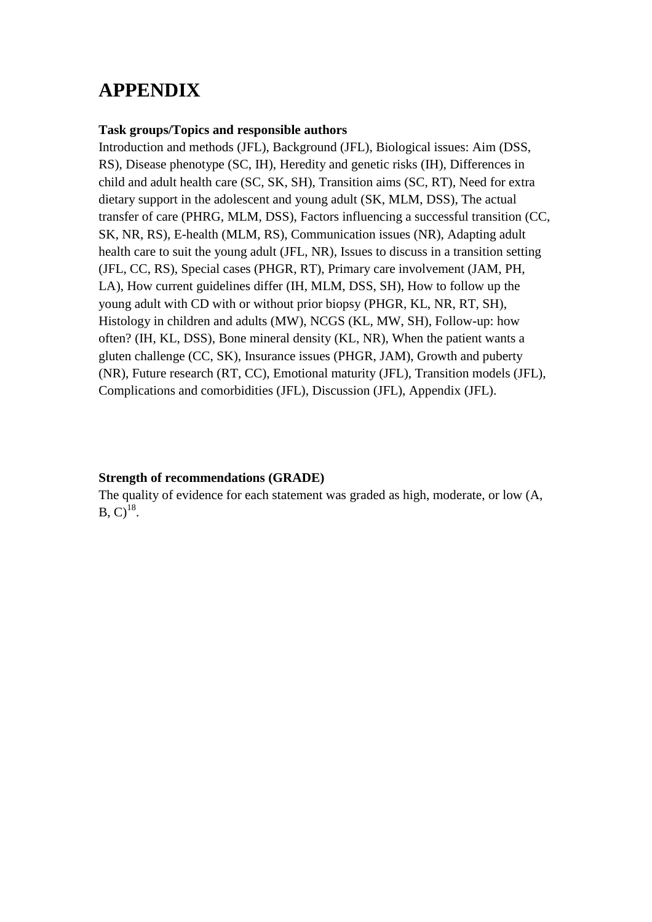# **APPENDIX**

#### **Task groups/Topics and responsible authors**

Introduction and methods (JFL), Background (JFL), Biological issues: Aim (DSS, RS), Disease phenotype (SC, IH), Heredity and genetic risks (IH), Differences in child and adult health care (SC, SK, SH), Transition aims (SC, RT), Need for extra dietary support in the adolescent and young adult (SK, MLM, DSS), The actual transfer of care (PHRG, MLM, DSS), Factors influencing a successful transition (CC, SK, NR, RS), E-health (MLM, RS), Communication issues (NR), Adapting adult health care to suit the young adult (JFL, NR), Issues to discuss in a transition setting (JFL, CC, RS), Special cases (PHGR, RT), Primary care involvement (JAM, PH, LA), How current guidelines differ (IH, MLM, DSS, SH), How to follow up the young adult with CD with or without prior biopsy (PHGR, KL, NR, RT, SH), Histology in children and adults (MW), NCGS (KL, MW, SH), Follow-up: how often? (IH, KL, DSS), Bone mineral density (KL, NR), When the patient wants a gluten challenge (CC, SK), Insurance issues (PHGR, JAM), Growth and puberty (NR), Future research (RT, CC), Emotional maturity (JFL), Transition models (JFL), Complications and comorbidities (JFL), Discussion (JFL), Appendix (JFL).

### **Strength of recommendations (GRADE)**

The quality of evidence for each statement was graded as high, moderate, or low (A,  $B, C$ <sup>18</sup>.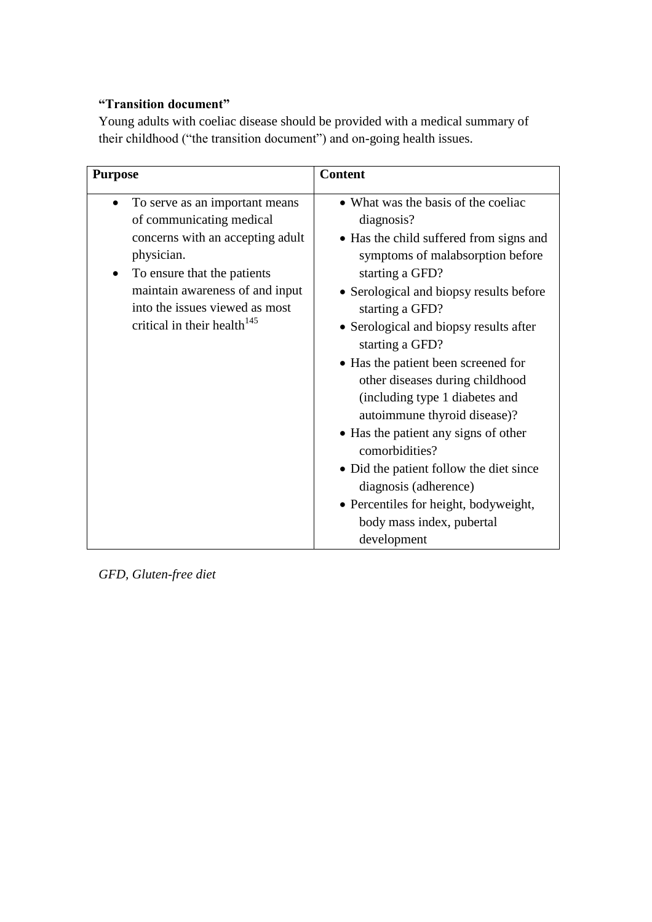## **"Transition document"**

Young adults with coeliac disease should be provided with a medical summary of their childhood ("the transition document") and on-going health issues.

| <b>Purpose</b>                                                                                                                                                                                                                                                           | <b>Content</b>                                                                                                                                                                                                                                                                                                                                                                                                                                                                                                                                                                                                                                |
|--------------------------------------------------------------------------------------------------------------------------------------------------------------------------------------------------------------------------------------------------------------------------|-----------------------------------------------------------------------------------------------------------------------------------------------------------------------------------------------------------------------------------------------------------------------------------------------------------------------------------------------------------------------------------------------------------------------------------------------------------------------------------------------------------------------------------------------------------------------------------------------------------------------------------------------|
| To serve as an important means<br>$\bullet$<br>of communicating medical<br>concerns with an accepting adult<br>physician.<br>To ensure that the patients<br>maintain awareness of and input<br>into the issues viewed as most<br>critical in their health <sup>145</sup> | • What was the basis of the coeliac<br>diagnosis?<br>• Has the child suffered from signs and<br>symptoms of malabsorption before<br>starting a GFD?<br>• Serological and biopsy results before<br>starting a GFD?<br>• Serological and biopsy results after<br>starting a GFD?<br>• Has the patient been screened for<br>other diseases during childhood<br>(including type 1 diabetes and<br>autoimmune thyroid disease)?<br>• Has the patient any signs of other<br>comorbidities?<br>• Did the patient follow the diet since<br>diagnosis (adherence)<br>• Percentiles for height, bodyweight,<br>body mass index, pubertal<br>development |

*GFD, Gluten-free diet*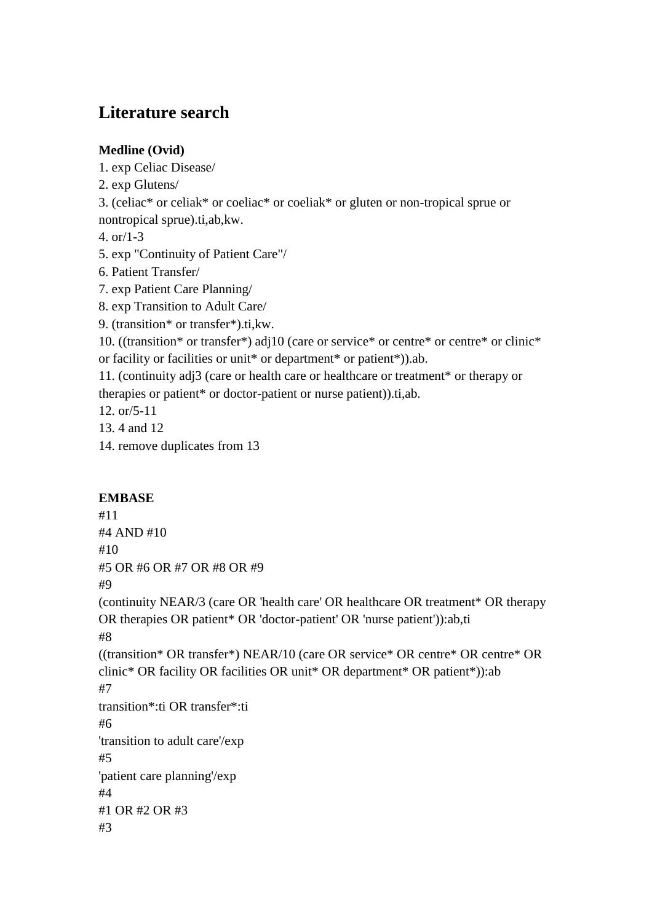# **Literature search**

## **Medline (Ovid)**

1. exp Celiac Disease/

2. exp Glutens/

3. (celiac\* or celiak\* or coeliac\* or coeliak\* or gluten or non-tropical sprue or nontropical sprue).ti,ab,kw.

4. or/1-3

5. exp "Continuity of Patient Care"/

- 6. Patient Transfer/
- 7. exp Patient Care Planning/
- 8. exp Transition to Adult Care/
- 9. (transition\* or transfer\*).ti,kw.

10. ((transition\* or transfer\*) adj10 (care or service\* or centre\* or centre\* or clinic\* or facility or facilities or unit\* or department\* or patient\*)).ab.

11. (continuity adj3 (care or health care or healthcare or treatment\* or therapy or therapies or patient\* or doctor-patient or nurse patient)).ti,ab.

12. or/5-11

- 13. 4 and 12
- 14. remove duplicates from 13

## **EMBASE**

#11 #4 AND #10 #10 #5 OR #6 OR #7 OR #8 OR #9 #9 (continuity NEAR/3 (care OR 'health care' OR healthcare OR treatment\* OR therapy OR therapies OR patient\* OR 'doctor-patient' OR 'nurse patient')):ab,ti #8 ((transition\* OR transfer\*) NEAR/10 (care OR service\* OR centre\* OR centre\* OR clinic\* OR facility OR facilities OR unit\* OR department\* OR patient\*)):ab #7 transition\*:ti OR transfer\*:ti #6 'transition to adult care'/exp #5 'patient care planning'/exp #4 #1 OR #2 OR #3 #3